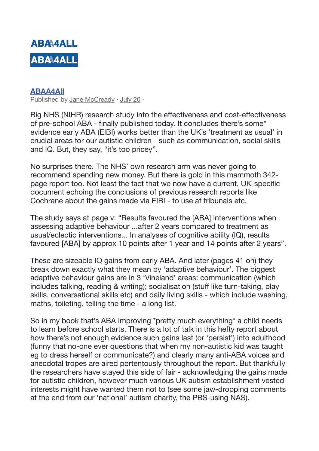

## **[ABAA4All](https://www.facebook.com/ABAAccess4All/?__xts__%5B0%5D=68.ARC2AvVb1G-C5ZEkYMARcALFQDxmlxtaW73oLYTWMKKa1_EEPWWLmni4NqT9om8_8FILHPDtFu4y0SniBKBLrIE-aLaTv8xzp_ktPRuHqhbY51zJbQHyCZwH5yI-4UgIlWhZo7IdevwKOA-USeD84tWnY8MCveYXyCEVwFjtV3tVrJyuQOrJTE2LbXmq4_mGBZKFlsvGPPwUxKDNHu928U5Ul9L5WoTTr6Ts89Ol_DoypMnWZfbNIMAszkiToU1Wf3o7K4ADRQU9eAVRPR-0xrCvcCecbj6Y3bvdsKxfZEgMmtFq6MpEcDy3NS5NtMGrxU4dAuJXE3HpTRQSbAX0OfbblA&__xts__%5B1%5D=68.ARAUpQFZgissb7p7W76Z3SFA81aI67R0ADL8R4aGkuTH0hjSVCsLbsjWH2H2HM4NsTKKwTxjvkAAQeK-97FAZwXDxzrJyFXnRqCqd5fs3n_xfirIladsABvHtj-MF2qIOPXYPhatGBHwZPjxLF-t-Y49QJY0SkD1e9K5ct0X2nsnfJLJEHtJLXMowfhAuJe_8ktN4j6A0esug5l-PkneEmRoPp--k-S-1ALMHJNvpr08wlYEKJSezztFp3RuCxUYCEEJ1nOkYTPlOfddvbiyGB6DDibRQguz0N_u3gHwxD046KV9Sc4eFc5BQ5PBPuCy8NwJ2oFWNQVmFQaFNvfSuOz80Q&__tn__=kC-R&eid=ARC9yLVLUvx3jSU9XrqDp9twMoZOcXV4F-k5HYstqroM72LbfDvwZ6V81p8JGBJCDMGIJr9qZEe8Z4kO&hc_ref=ARS6ryew5JduKIB5CqnycLogbpayejxM-VJSqul4k1y2zqZry5Pl3Y_KXya6hkAMW04&fref=nf)**

Published by [Jane McCready](https://www.facebook.com/jane.mccready.75?__xts__%5B0%5D=68.ARAUpQFZgissb7p7W76Z3SFA81aI67R0ADL8R4aGkuTH0hjSVCsLbsjWH2H2HM4NsTKKwTxjvkAAQeK-97FAZwXDxzrJyFXnRqCqd5fs3n_xfirIladsABvHtj-MF2qIOPXYPhatGBHwZPjxLF-t-Y49QJY0SkD1e9K5ct0X2nsnfJLJEHtJLXMowfhAuJe_8ktN4j6A0esug5l-PkneEmRoPp--k-S-1ALMHJNvpr08wlYEKJSezztFp3RuCxUYCEEJ1nOkYTPlOfddvbiyGB6DDibRQguz0N_u3gHwxD046KV9Sc4eFc5BQ5PBPuCy8NwJ2oFWNQVmFQaFNvfSuOz80Q&__tn__=-R) · [July 20](https://www.facebook.com/ABAAccess4All/posts/3108363575908101?__xts__%5B0%5D=68.ARAUpQFZgissb7p7W76Z3SFA81aI67R0ADL8R4aGkuTH0hjSVCsLbsjWH2H2HM4NsTKKwTxjvkAAQeK-97FAZwXDxzrJyFXnRqCqd5fs3n_xfirIladsABvHtj-MF2qIOPXYPhatGBHwZPjxLF-t-Y49QJY0SkD1e9K5ct0X2nsnfJLJEHtJLXMowfhAuJe_8ktN4j6A0esug5l-PkneEmRoPp--k-S-1ALMHJNvpr08wlYEKJSezztFp3RuCxUYCEEJ1nOkYTPlOfddvbiyGB6DDibRQguz0N_u3gHwxD046KV9Sc4eFc5BQ5PBPuCy8NwJ2oFWNQVmFQaFNvfSuOz80Q&__tn__=-R) ·

Big NHS (NIHR) research study into the effectiveness and cost-effectiveness of pre-school ABA - finally published today. It concludes there's some\* evidence early ABA (EIBI) works better than the UK's 'treatment as usual' in crucial areas for our autistic children - such as communication, social skills and IQ. But, they say, "it's too pricey".

No surprises there. The NHS' own research arm was never going to recommend spending new money. But there is gold in this mammoth 342 page report too. Not least the fact that we now have a current, UK-specific document echoing the conclusions of previous research reports like Cochrane about the gains made via EIBI - to use at tribunals etc.

The study says at page v: "Results favoured the [ABA] interventions when assessing adaptive behaviour ...after 2 years compared to treatment as usual/eclectic interventions... In analyses of cognitive ability (IQ), results favoured [ABA] by approx 10 points after 1 year and 14 points after 2 years".

These are sizeable IQ gains from early ABA. And later (pages 41 on) they break down exactly what they mean by 'adaptive behaviour'. The biggest adaptive behaviour gains are in 3 'Vineland' areas: communication (which includes talking, reading & writing); socialisation (stuff like turn-taking, play skills, conversational skills etc) and daily living skills - which include washing, maths, toileting, telling the time - a long list.

So in my book that's ABA improving \*pretty much everything\* a child needs to learn before school starts. There is a lot of talk in this hefty report about how there's not enough evidence such gains last (or 'persist') into adulthood (funny that no-one ever questions that when my non-autistic kid was taught eg to dress herself or communicate?) and clearly many anti-ABA voices and anecdotal tropes are aired portentously throughout the report. But thankfully the researchers have stayed this side of fair - acknowledging the gains made for autistic children, however much various UK autism establishment vested interests might have wanted them not to (see some jaw-dropping comments at the end from our 'national' autism charity, the PBS-using NAS).